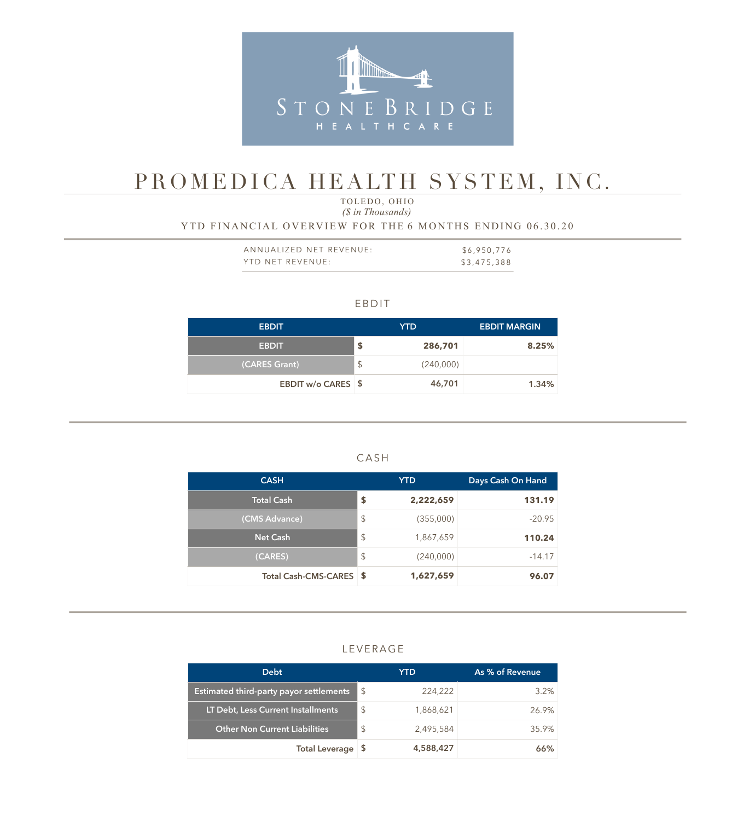

# PROMEDICA HEALTH SYSTEM, INC.

 *(\$ in Thousands)* TOLEDO, OHIO

## YTD FINANCIAL OVERVIEW FOR THE 6 MONTHS ENDING 06.30.20

| ANNUALIZED NET REVENUE: | \$6,950,776 |
|-------------------------|-------------|
| YTD NET REVENUE:        | \$3,475,388 |

#### EBDIT

| <b>EBDIT</b>       |               | YTD       | <b>EBDIT MARGIN</b> |
|--------------------|---------------|-----------|---------------------|
| <b>EBDIT</b>       | \$            | 286,701   | 8.25%               |
| (CARES Grant)      | $\frac{1}{2}$ | (240,000) |                     |
| EBDIT w/o CARES \$ |               | 46,701    | 1.34%               |

### CASH

| <b>CASH</b>             |                         | <b>YTD</b> | Days Cash On Hand |
|-------------------------|-------------------------|------------|-------------------|
| <b>Total Cash</b>       | \$                      | 2,222,659  | 131.19            |
| (CMS Advance)           | $\sqrt[6]{\frac{1}{2}}$ | (355,000)  | $-20.95$          |
| <b>Net Cash</b>         | $\sqrt[6]{\frac{1}{2}}$ | 1,867,659  | 110.24            |
| (CARES)                 | $\sqrt[6]{\frac{1}{2}}$ | (240,000)  | $-14.17$          |
| Total Cash-CMS-CARES \$ |                         | 1,627,659  | 96.07             |

#### LEVERAGE

| <b>Debt</b>                             |               | YTD       | As % of Revenue |
|-----------------------------------------|---------------|-----------|-----------------|
| Estimated third-party payor settlements | - \$          | 224,222   | $3.2\%$         |
| LT Debt, Less Current Installments      | $\mathcal{L}$ | 1,868,621 | 26.9%           |
| <b>Other Non Current Liabilities</b>    | $\mathcal{L}$ | 2,495,584 | 35.9%           |
| <b>Total Leverage</b>                   | - 5           | 4,588,427 | 66%             |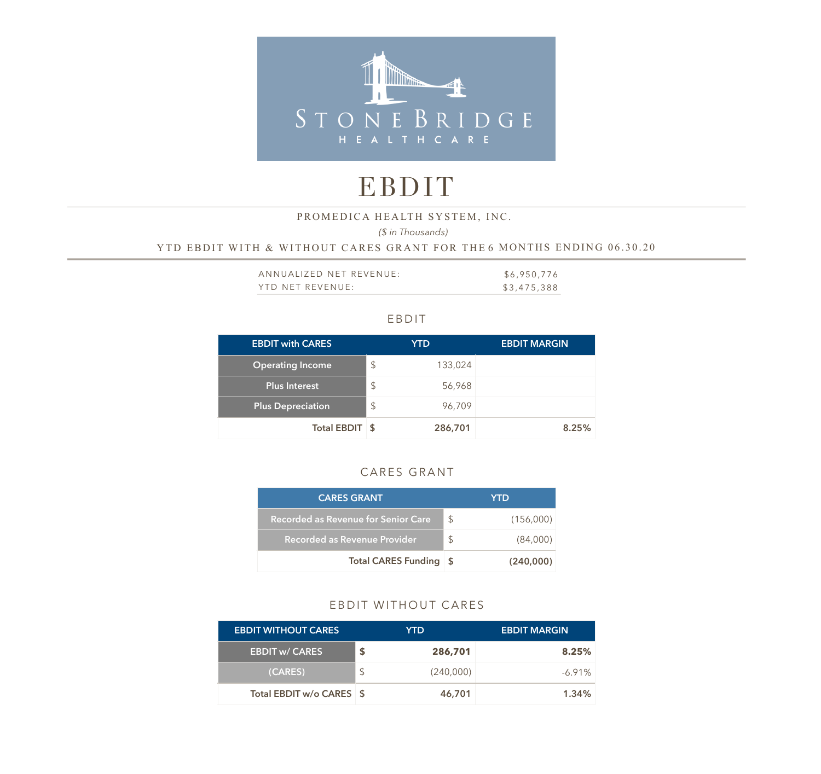

# EBDIT

#### PROMEDICA HEALTH SYSTEM, INC.

*(\$ in Thousands)* 

#### YTD EBDIT WITH & WITHOUT CARES GRANT FOR THE 6 MONTHS ENDING 06.30.20

| ANNUALIZED NET REVENUE: | \$6,950,776 |
|-------------------------|-------------|
| YTD NET REVENUE:        | \$3,475,388 |

#### EBDIT

| <b>EBDIT with CARES</b>  |               | YTD     | <b>EBDIT MARGIN</b> |
|--------------------------|---------------|---------|---------------------|
| <b>Operating Income</b>  | $\mathcal{L}$ | 133,024 |                     |
| <b>Plus Interest</b>     | $\mathcal{L}$ | 56,968  |                     |
| <b>Plus Depreciation</b> | $\frac{1}{2}$ | 96,709  |                     |
| Total EBDIT \$           |               | 286,701 | 8.25%               |

## CARES GRANT

| <b>CARES GRANT</b>                         |    | YTD       |
|--------------------------------------------|----|-----------|
| <b>Recorded as Revenue for Senior Care</b> | \$ | (156,000) |
| Recorded as Revenue Provider               | \$ | (84,000)  |
| <b>Total CARES Funding</b>                 | S  | (240,000) |

#### EBDIT WITHOUT CARES

| <b>EBDIT WITHOUT CARES</b> |     | YTD       | <b>EBDIT MARGIN</b> |
|----------------------------|-----|-----------|---------------------|
| <b>EBDIT w/ CARES</b>      |     | 286,701   | 8.25%               |
| (CARES)                    | \$. | (240,000) | $-6.91\%$           |
| Total EBDIT w/o CARES \$   |     | 46,701    | 1.34%               |